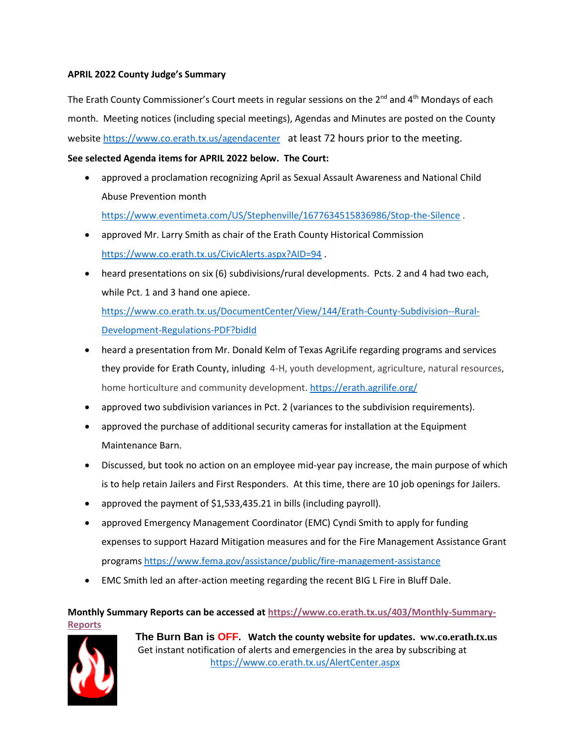## **APRIL 2022 County Judge's Summary**

The Erath County Commissioner's Court meets in regular sessions on the  $2^{nd}$  and  $4^{th}$  Mondays of each month. Meeting notices (including special meetings), Agendas and Minutes are posted on the County websit[e https://www.co.erath.tx.us/agendacenter](https://www.co.erath.tx.us/agendacenter) at least 72 hours prior to the meeting.

## **See selected Agenda items for APRIL 2022 below. The Court:**

- approved a proclamation recognizing April as Sexual Assault Awareness and National Child Abuse Prevention month <https://www.eventimeta.com/US/Stephenville/1677634515836986/Stop-the-Silence> .
- approved Mr. Larry Smith as chair of the Erath County Historical Commission <https://www.co.erath.tx.us/CivicAlerts.aspx?AID=94> .
- heard presentations on six (6) subdivisions/rural developments. Pcts. 2 and 4 had two each, while Pct. 1 and 3 hand one apiece.

[https://www.co.erath.tx.us/DocumentCenter/View/144/Erath-County-Subdivision--Rural-](https://www.co.erath.tx.us/DocumentCenter/View/144/Erath-County-Subdivision--Rural-Development-Regulations-PDF?bidId)[Development-Regulations-PDF?bidId](https://www.co.erath.tx.us/DocumentCenter/View/144/Erath-County-Subdivision--Rural-Development-Regulations-PDF?bidId)

- heard a presentation from Mr. Donald Kelm of Texas AgriLife regarding programs and services they provide for Erath County, inluding 4-H, youth development, agriculture, natural resources, home horticulture and community development. <https://erath.agrilife.org/>
- approved two subdivision variances in Pct. 2 (variances to the subdivision requirements).
- approved the purchase of additional security cameras for installation at the Equipment Maintenance Barn.
- Discussed, but took no action on an employee mid-year pay increase, the main purpose of which is to help retain Jailers and First Responders. At this time, there are 10 job openings for Jailers.
- approved the payment of \$1,533,435.21 in bills (including payroll).
- approved Emergency Management Coordinator (EMC) Cyndi Smith to apply for funding expenses to support Hazard Mitigation measures and for the Fire Management Assistance Grant programs<https://www.fema.gov/assistance/public/fire-management-assistance>
- EMC Smith led an after-action meeting regarding the recent BIG L Fire in Bluff Dale.

**Monthly Summary Reports can be accessed a[t https://www.co.erath.tx.us/403/Monthly-Summary-](https://www.co.erath.tx.us/403/Monthly-Summary-Reports)[Reports](https://www.co.erath.tx.us/403/Monthly-Summary-Reports)**



**The Burn Ban is OFF. Watch the county website for updates. ww.co.erath.tx.us** Get instant notification of alerts and emergencies in the area by subscribing at <https://www.co.erath.tx.us/AlertCenter.aspx>